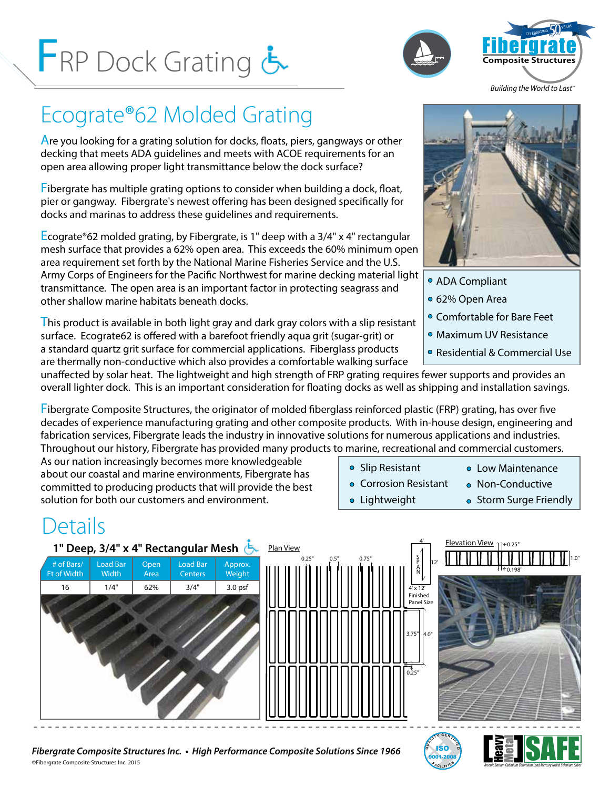# FRP Dock Grating





*Building the World to Last™*

## Ecograte®62 Molded Grating

Are you looking for a grating solution for docks, floats, piers, gangways or other decking that meets ADA guidelines and meets with ACOE requirements for an open area allowing proper light transmittance below the dock surface?

Fibergrate has multiple grating options to consider when building a dock, float, pier or gangway. Fibergrate's newest offering has been designed specifically for docks and marinas to address these guidelines and requirements.

Ecograte®62 molded grating, by Fibergrate, is 1" deep with a 3/4" x 4" rectangular mesh surface that provides a 62% open area. This exceeds the 60% minimum open area requirement set forth by the National Marine Fisheries Service and the U.S. Army Corps of Engineers for the Pacific Northwest for marine decking material light transmittance. The open area is an important factor in protecting seagrass and other shallow marine habitats beneath docks.

This product is available in both light gray and dark gray colors with a slip resistant surface. Ecograte62 is offered with a barefoot friendly aqua grit (sugar-grit) or a standard quartz grit surface for commercial applications. Fiberglass products are thermally non-conductive which also provides a comfortable walking surface



- ADA Compliant
- 62% Open Area
- Comfortable for Bare Feet
- Maximum UV Resistance
- Residential & Commercial Use

unaffected by solar heat. The lightweight and high strength of FRP grating requires fewer supports and provides an overall lighter dock. This is an important consideration for floating docks as well as shipping and installation savings.

Fibergrate Composite Structures, the originator of molded fiberglass reinforced plastic (FRP) grating, has over five decades of experience manufacturing grating and other composite products. With in-house design, engineering and fabrication services, Fibergrate leads the industry in innovative solutions for numerous applications and industries. Throughout our history, Fibergrate has provided many products to marine, recreational and commercial customers.

As our nation increasingly becomes more knowledgeable about our coastal and marine environments, Fibergrate has committed to producing products that will provide the best solution for both our customers and environment.

- Slip Resistant **Corrosion Resistant**
- **o** Low Maintenance
	- Non-Conductive
- **•** Lightweight
- Storm Surge Friendly

### Details



©Fibergrate Composite Structures Inc. 2015 **<sup>S</sup>** *Fibergrate Composite Structures Inc. • High Performance Composite Solutions Since 1966*